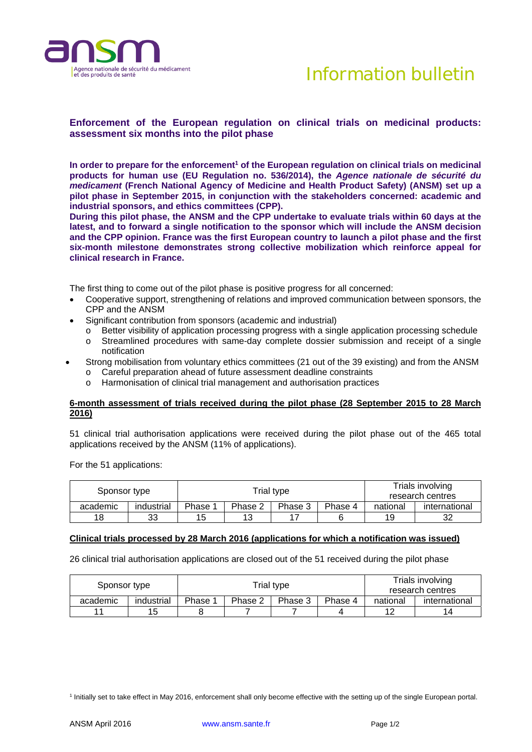



## **Enforcement of the European regulation on clinical trials on medicinal products: assessment six months into the pilot phase**

In order to prepare for the enforcement<sup>1</sup> of the European regulation on clinical trials on medicinal **products for human use (EU Regulation no. 536/2014), the** *Agence nationale de sécurité du medicament* **(French National Agency of Medicine and Health Product Safety) (ANSM) set up a pilot phase in September 2015, in conjunction with the stakeholders concerned: academic and industrial sponsors, and ethics committees (CPP).** 

**During this pilot phase, the ANSM and the CPP undertake to evaluate trials within 60 days at the latest, and to forward a single notification to the sponsor which will include the ANSM decision and the CPP opinion. France was the first European country to launch a pilot phase and the first six-month milestone demonstrates strong collective mobilization which reinforce appeal for clinical research in France.** 

The first thing to come out of the pilot phase is positive progress for all concerned:

- Cooperative support, strengthening of relations and improved communication between sponsors, the CPP and the ANSM
- Significant contribution from sponsors (academic and industrial)
	- $\circ$  Better visibility of application processing progress with a single application processing schedule
	- o Streamlined procedures with same-day complete dossier submission and receipt of a single notification
- Strong mobilisation from voluntary ethics committees (21 out of the 39 existing) and from the ANSM o Careful preparation ahead of future assessment deadline constraints
	- o Harmonisation of clinical trial management and authorisation practices

## **6-month assessment of trials received during the pilot phase (28 September 2015 to 28 March 2016)**

51 clinical trial authorisation applications were received during the pilot phase out of the 465 total applications received by the ANSM (11% of applications).

For the 51 applications:

| Sponsor type |            |         | Trial type | Trials involving<br>research centres |         |          |               |
|--------------|------------|---------|------------|--------------------------------------|---------|----------|---------------|
| academic     | industrial | Phase 1 | Phase 2    | Phase 3                              | Phase 4 | national | international |
| 18           | 33         | 15      | 13         |                                      |         | 19       | 32            |

## **Clinical trials processed by 28 March 2016 (applications for which a notification was issued)**

26 clinical trial authorisation applications are closed out of the 51 received during the pilot phase

| Sponsor type |            |         | Trial type | Trials involving<br>research centres |         |          |               |
|--------------|------------|---------|------------|--------------------------------------|---------|----------|---------------|
| academic     | industrial | Phase 1 | Phase 2    | Phase 3                              | Phase 4 | national | international |
|              | 15         |         |            |                                      |         | 12       | 14            |

<sup>1</sup> Initially set to take effect in May 2016, enforcement shall only become effective with the setting up of the single European portal.